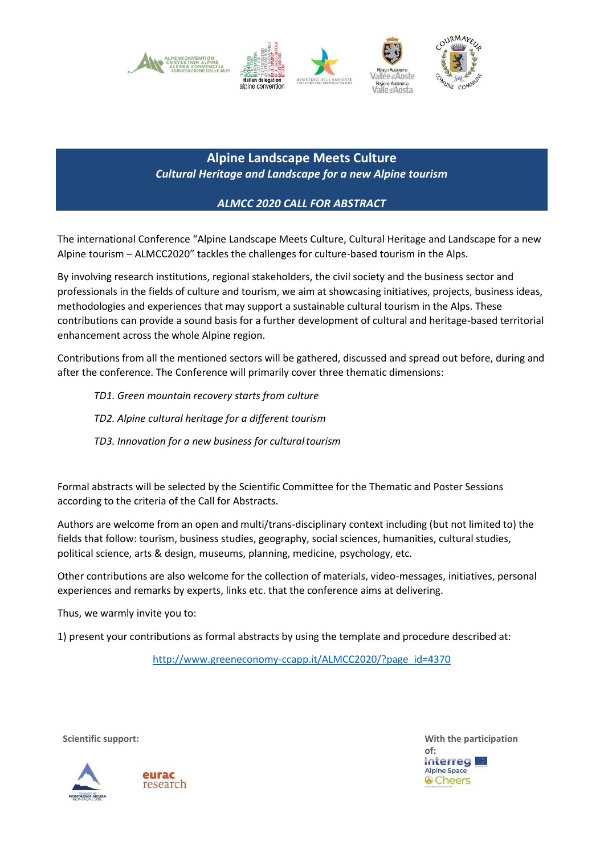

**Alpine Landscape Meets Culture** *Cultural Heritage and Landscape for a new Alpine tourism*

## *ALMCC 2020 CALL FOR ABSTRACT*

The international Conference "Alpine Landscape Meets Culture, Cultural Heritage and Landscape for a new Alpine tourism – ALMCC2020" tackles the challenges for culture-based tourism in the Alps.

By involving research institutions, regional stakeholders, the civil society and the business sector and professionals in the fields of culture and tourism, we aim at showcasing initiatives, projects, business ideas, methodologies and experiences that may support a sustainable cultural tourism in the Alps. These contributions can provide a sound basis for a further development of cultural and heritage-based territorial enhancement across the whole Alpine region.

Contributions from all the mentioned sectors will be gathered, discussed and spread out before, during and after the conference. The Conference will primarily cover three thematic dimensions:

- *TD1. Green mountain recovery starts from culture*
- *TD2. Alpine cultural heritage for a different tourism*
- *TD3. Innovation for a new business for culturaltourism*

Formal abstracts will be selected by the Scientific Committee for the Thematic and Poster Sessions according to the criteria of the Call for Abstracts.

Authors are welcome from an open and multi/trans-disciplinary context including (but not limited to) the fields that follow: tourism, business studies, geography, social sciences, humanities, cultural studies, political science, arts & design, museums, planning, medicine, psychology, etc.

Other contributions are also welcome for the collection of materials, video-messages, initiatives, personal experiences and remarks by experts, links etc. that the conference aims at delivering.

Thus, we warmly invite you to:

1) present your contributions as formal abstracts by using the template and procedure described at[:](http://www.greeneconomy-ccapp.it/ALMCC2020/?page_id=4370)

[http://www.greeneconomy-ccapp.it/ALMCC2020/?page\\_id=4370](http://www.greeneconomy-ccapp.it/ALMCC2020/?page_id=4370)





**Scientific support: With the participation of: Interreg** I **Alpine Space Cheers**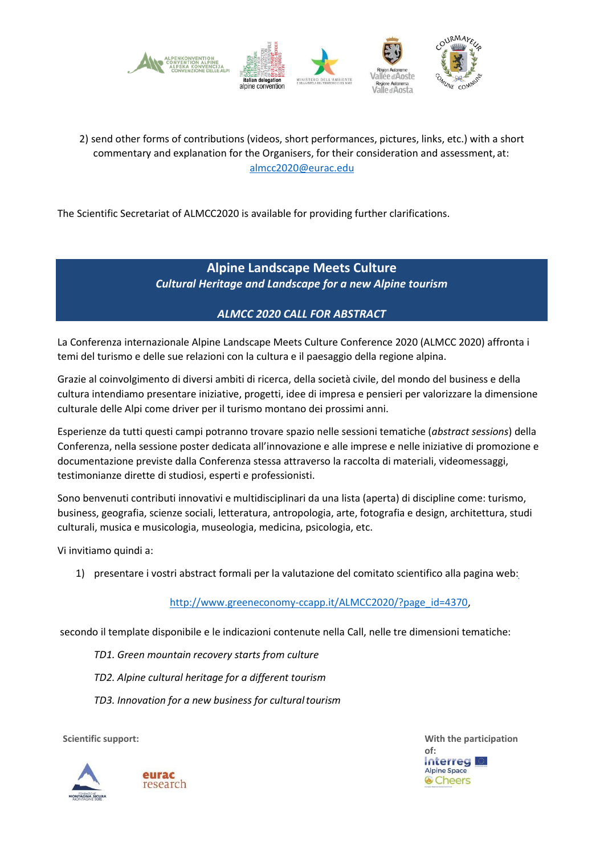

## 2) send other forms of contributions (videos, short performances, pictures, links, etc.) with a short commentary and explanation for the Organisers, for their consideration and assessment, at: [almcc2020@eurac.edu](mailto:almcc2020@eurac.edu)

The Scientific Secretariat of ALMCC2020 is available for providing further clarifications.

# **Alpine Landscape Meets Culture** *Cultural Heritage and Landscape for a new Alpine tourism*

## *ALMCC 2020 CALL FOR ABSTRACT*

La Conferenza internazionale Alpine Landscape Meets Culture Conference 2020 (ALMCC 2020) affronta i temi del turismo e delle sue relazioni con la cultura e il paesaggio della regione alpina.

Grazie al coinvolgimento di diversi ambiti di ricerca, della società civile, del mondo del business e della cultura intendiamo presentare iniziative, progetti, idee di impresa e pensieri per valorizzare la dimensione culturale delle Alpi come driver per il turismo montano dei prossimi anni.

Esperienze da tutti questi campi potranno trovare spazio nelle sessioni tematiche (*abstract sessions*) della Conferenza, nella sessione poster dedicata all'innovazione e alle imprese e nelle iniziative di promozione e documentazione previste dalla Conferenza stessa attraverso la raccolta di materiali, videomessaggi, testimonianze dirette di studiosi, esperti e professionisti.

Sono benvenuti contributi innovativi e multidisciplinari da una lista (aperta) di discipline come: turismo, business, geografia, scienze sociali, letteratura, antropologia, arte, fotografia e design, architettura, studi culturali, musica e musicologia, museologia, medicina, psicologia, etc.

Vi invitiamo quindi a:

1) presentare i vostri abstract formali per la valutazione del comitato scientifico alla pagina web[:](http://www.greeneconomy-ccapp.it/ALMCC2020/?page_id=4370)

#### [http://www.greeneconomy-ccapp.it/ALMCC2020/?page\\_id=4370,](http://www.greeneconomy-ccapp.it/ALMCC2020/?page_id=4370)

secondo il template disponibile e le indicazioni contenute nella Call, nelle tre dimensioni tematiche:

- *TD1. Green mountain recovery starts from culture*
- *TD2. Alpine cultural heritage for a different tourism*
- *TD3. Innovation for a new business for culturaltourism*